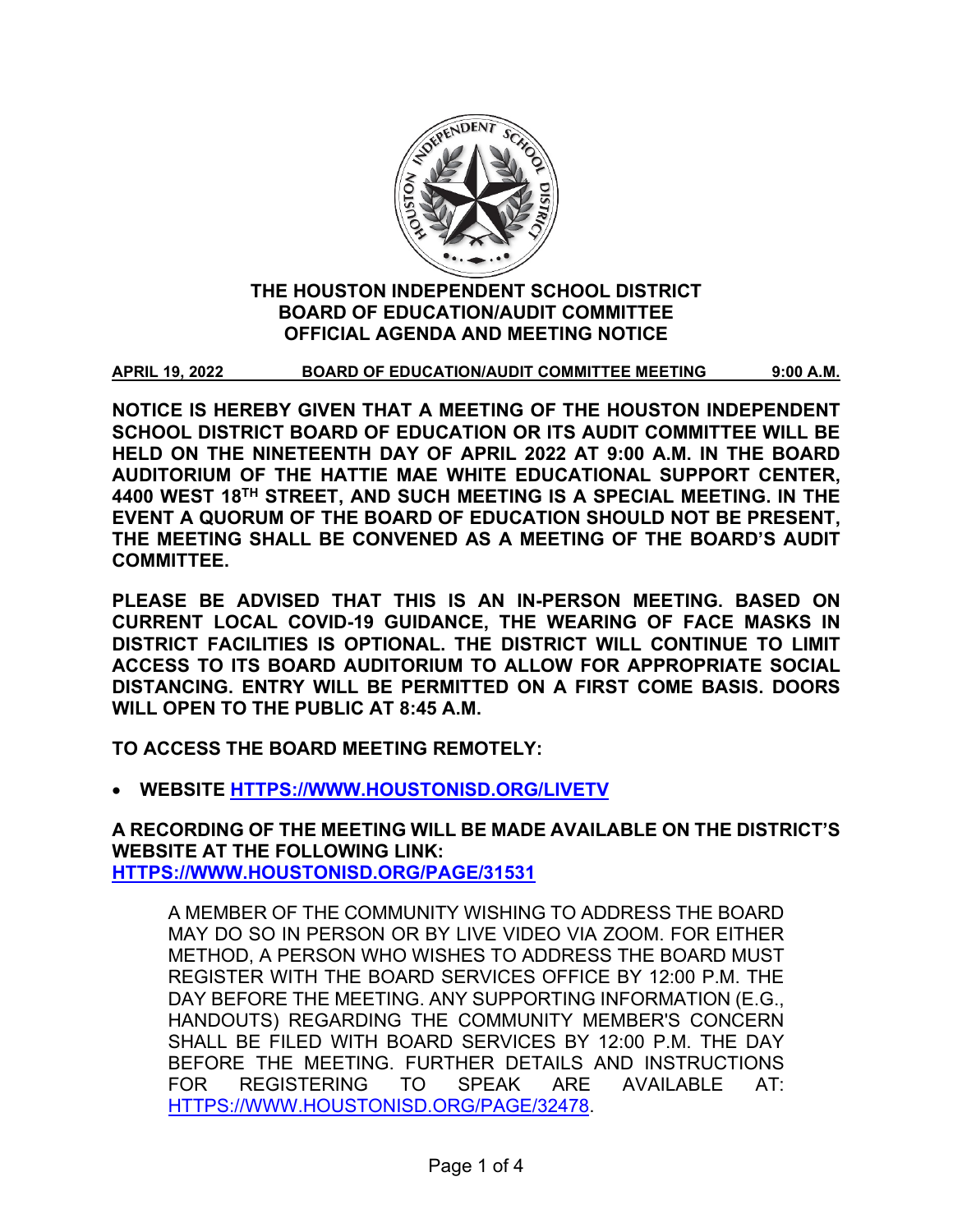

# **THE HOUSTON INDEPENDENT SCHOOL DISTRICT BOARD OF EDUCATION/AUDIT COMMITTEE OFFICIAL AGENDA AND MEETING NOTICE**

**APRIL 19, 2022 BOARD OF EDUCATION/AUDIT COMMITTEE MEETING 9:00 A.M.**

**NOTICE IS HEREBY GIVEN THAT A MEETING OF THE HOUSTON INDEPENDENT SCHOOL DISTRICT BOARD OF EDUCATION OR ITS AUDIT COMMITTEE WILL BE HELD ON THE NINETEENTH DAY OF APRIL 2022 AT 9:00 A.M. IN THE BOARD AUDITORIUM OF THE HATTIE MAE WHITE EDUCATIONAL SUPPORT CENTER, 4400 WEST 18TH STREET, AND SUCH MEETING IS A SPECIAL MEETING. IN THE EVENT A QUORUM OF THE BOARD OF EDUCATION SHOULD NOT BE PRESENT, THE MEETING SHALL BE CONVENED AS A MEETING OF THE BOARD'S AUDIT COMMITTEE.**

**PLEASE BE ADVISED THAT THIS IS AN IN-PERSON MEETING. BASED ON CURRENT LOCAL COVID-19 GUIDANCE, THE WEARING OF FACE MASKS IN DISTRICT FACILITIES IS OPTIONAL. THE DISTRICT WILL CONTINUE TO LIMIT ACCESS TO ITS BOARD AUDITORIUM TO ALLOW FOR APPROPRIATE SOCIAL DISTANCING. ENTRY WILL BE PERMITTED ON A FIRST COME BASIS. DOORS WILL OPEN TO THE PUBLIC AT 8:45 A.M.**

**TO ACCESS THE BOARD MEETING REMOTELY:** 

• **WEBSITE [HTTPS://WWW.HOUSTONISD.ORG/LIVETV](https://www.houstonisd.org/livetv)**

**A RECORDING OF THE MEETING WILL BE MADE AVAILABLE ON THE DISTRICT'S WEBSITE AT THE FOLLOWING LINK: [HTTPS://WWW.HOUSTONISD.ORG/PAGE/31531](https://www.houstonisd.org/Page/31531)**

A MEMBER OF THE COMMUNITY WISHING TO ADDRESS THE BOARD MAY DO SO IN PERSON OR BY LIVE VIDEO VIA ZOOM. FOR EITHER METHOD, A PERSON WHO WISHES TO ADDRESS THE BOARD MUST REGISTER WITH THE BOARD SERVICES OFFICE BY 12:00 P.M. THE DAY BEFORE THE MEETING. ANY SUPPORTING INFORMATION (E.G., HANDOUTS) REGARDING THE COMMUNITY MEMBER'S CONCERN SHALL BE FILED WITH BOARD SERVICES BY 12:00 P.M. THE DAY BEFORE THE MEETING. FURTHER DETAILS AND INSTRUCTIONS FOR REGISTERING TO SPEAK ARE AVAILABLE AT: [HTTPS://WWW.HOUSTONISD.ORG/PAGE/32478.](https://www.houstonisd.org/Page/32478)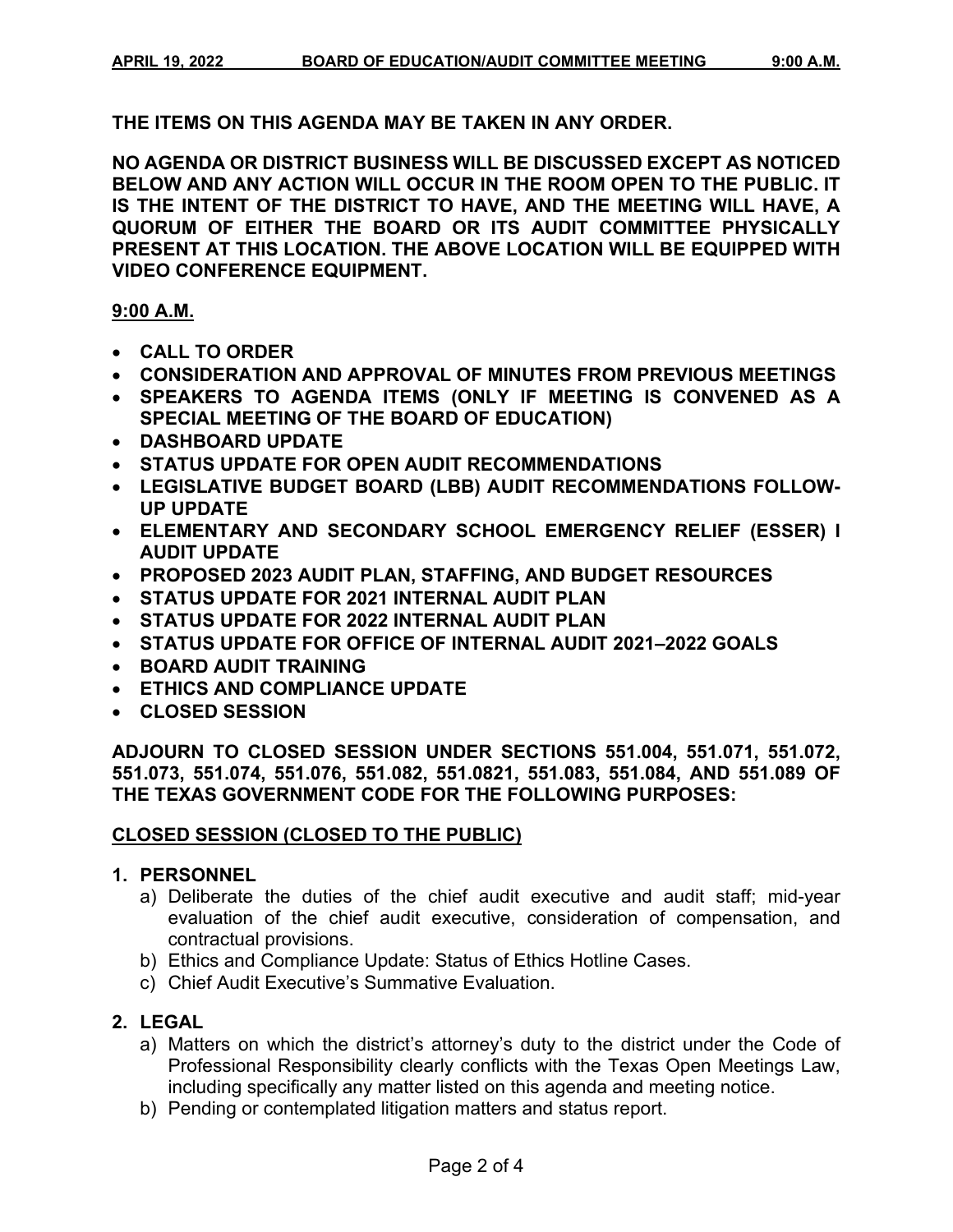**THE ITEMS ON THIS AGENDA MAY BE TAKEN IN ANY ORDER.**

**NO AGENDA OR DISTRICT BUSINESS WILL BE DISCUSSED EXCEPT AS NOTICED BELOW AND ANY ACTION WILL OCCUR IN THE ROOM OPEN TO THE PUBLIC. IT IS THE INTENT OF THE DISTRICT TO HAVE, AND THE MEETING WILL HAVE, A QUORUM OF EITHER THE BOARD OR ITS AUDIT COMMITTEE PHYSICALLY PRESENT AT THIS LOCATION. THE ABOVE LOCATION WILL BE EQUIPPED WITH VIDEO CONFERENCE EQUIPMENT.** 

## **9:00 A.M.**

- **CALL TO ORDER**
- **CONSIDERATION AND APPROVAL OF MINUTES FROM PREVIOUS MEETINGS**
- **SPEAKERS TO AGENDA ITEMS (ONLY IF MEETING IS CONVENED AS A SPECIAL MEETING OF THE BOARD OF EDUCATION)**
- **DASHBOARD UPDATE**
- **STATUS UPDATE FOR OPEN AUDIT RECOMMENDATIONS**
- **LEGISLATIVE BUDGET BOARD (LBB) AUDIT RECOMMENDATIONS FOLLOW-UP UPDATE**
- **ELEMENTARY AND SECONDARY SCHOOL EMERGENCY RELIEF (ESSER) I AUDIT UPDATE**
- **PROPOSED 2023 AUDIT PLAN, STAFFING, AND BUDGET RESOURCES**
- **STATUS UPDATE FOR 2021 INTERNAL AUDIT PLAN**
- **STATUS UPDATE FOR 2022 INTERNAL AUDIT PLAN**
- **STATUS UPDATE FOR OFFICE OF INTERNAL AUDIT 2021–2022 GOALS**
- **BOARD AUDIT TRAINING**
- **ETHICS AND COMPLIANCE UPDATE**
- **CLOSED SESSION**

**ADJOURN TO CLOSED SESSION UNDER SECTIONS 551.004, 551.071, 551.072, 551.073, 551.074, 551.076, 551.082, 551.0821, 551.083, 551.084, AND 551.089 OF THE TEXAS GOVERNMENT CODE FOR THE FOLLOWING PURPOSES:**

## **CLOSED SESSION (CLOSED TO THE PUBLIC)**

## **1. PERSONNEL**

- a) Deliberate the duties of the chief audit executive and audit staff; mid-year evaluation of the chief audit executive, consideration of compensation, and contractual provisions.
- b) Ethics and Compliance Update: Status of Ethics Hotline Cases.
- c) Chief Audit Executive's Summative Evaluation.

## **2. LEGAL**

- a) Matters on which the district's attorney's duty to the district under the Code of Professional Responsibility clearly conflicts with the Texas Open Meetings Law, including specifically any matter listed on this agenda and meeting notice.
- b) Pending or contemplated litigation matters and status report.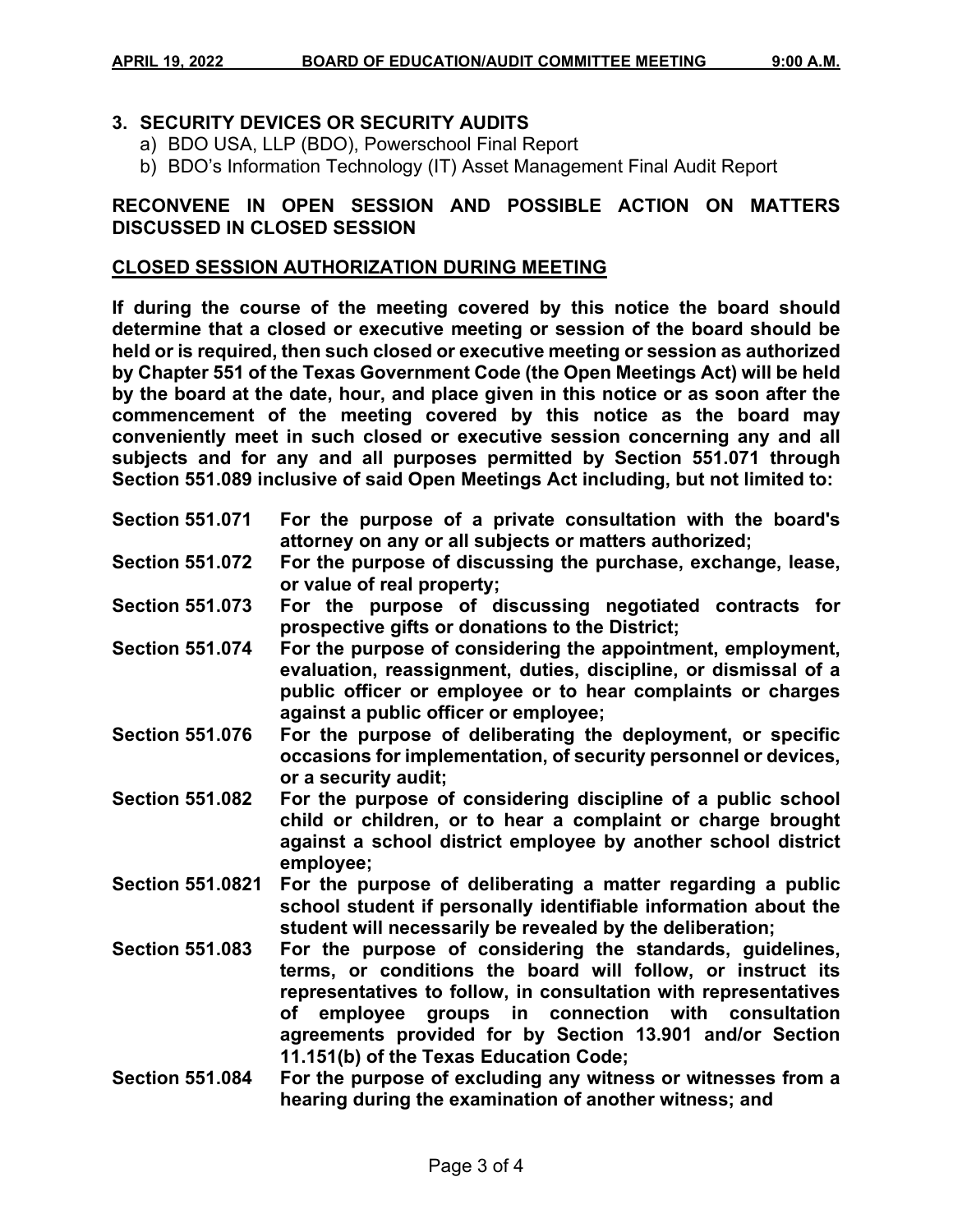# **3. SECURITY DEVICES OR SECURITY AUDITS**

- a) BDO USA, LLP (BDO), Powerschool Final Report
- b) BDO's Information Technology (IT) Asset Management Final Audit Report

## **RECONVENE IN OPEN SESSION AND POSSIBLE ACTION ON MATTERS DISCUSSED IN CLOSED SESSION**

#### **CLOSED SESSION AUTHORIZATION DURING MEETING**

**If during the course of the meeting covered by this notice the board should determine that a closed or executive meeting or session of the board should be held or is required, then such closed or executive meeting or session as authorized by Chapter 551 of the Texas Government Code (the Open Meetings Act) will be held by the board at the date, hour, and place given in this notice or as soon after the commencement of the meeting covered by this notice as the board may conveniently meet in such closed or executive session concerning any and all subjects and for any and all purposes permitted by Section 551.071 through Section 551.089 inclusive of said Open Meetings Act including, but not limited to:**

| <b>Section 551.071</b>  | For the purpose of a private consultation with the board's<br>attorney on any or all subjects or matters authorized;                                                                                                                                                                                                                                       |
|-------------------------|------------------------------------------------------------------------------------------------------------------------------------------------------------------------------------------------------------------------------------------------------------------------------------------------------------------------------------------------------------|
| <b>Section 551.072</b>  | For the purpose of discussing the purchase, exchange, lease,<br>or value of real property;                                                                                                                                                                                                                                                                 |
| <b>Section 551.073</b>  | For the purpose of discussing negotiated contracts for<br>prospective gifts or donations to the District;                                                                                                                                                                                                                                                  |
| <b>Section 551.074</b>  | For the purpose of considering the appointment, employment,<br>evaluation, reassignment, duties, discipline, or dismissal of a<br>public officer or employee or to hear complaints or charges<br>against a public officer or employee;                                                                                                                     |
| <b>Section 551.076</b>  | For the purpose of deliberating the deployment, or specific<br>occasions for implementation, of security personnel or devices,<br>or a security audit;                                                                                                                                                                                                     |
| <b>Section 551.082</b>  | For the purpose of considering discipline of a public school<br>child or children, or to hear a complaint or charge brought<br>against a school district employee by another school district<br>employee;                                                                                                                                                  |
| <b>Section 551.0821</b> | For the purpose of deliberating a matter regarding a public<br>school student if personally identifiable information about the<br>student will necessarily be revealed by the deliberation;                                                                                                                                                                |
| <b>Section 551.083</b>  | For the purpose of considering the standards, guidelines,<br>terms, or conditions the board will follow, or instruct its<br>representatives to follow, in consultation with representatives<br>groups in connection with consultation<br>of employee<br>agreements provided for by Section 13.901 and/or Section<br>11.151(b) of the Texas Education Code; |
| <b>Section 551.084</b>  | For the purpose of excluding any witness or witnesses from a<br>hearing during the examination of another witness; and                                                                                                                                                                                                                                     |